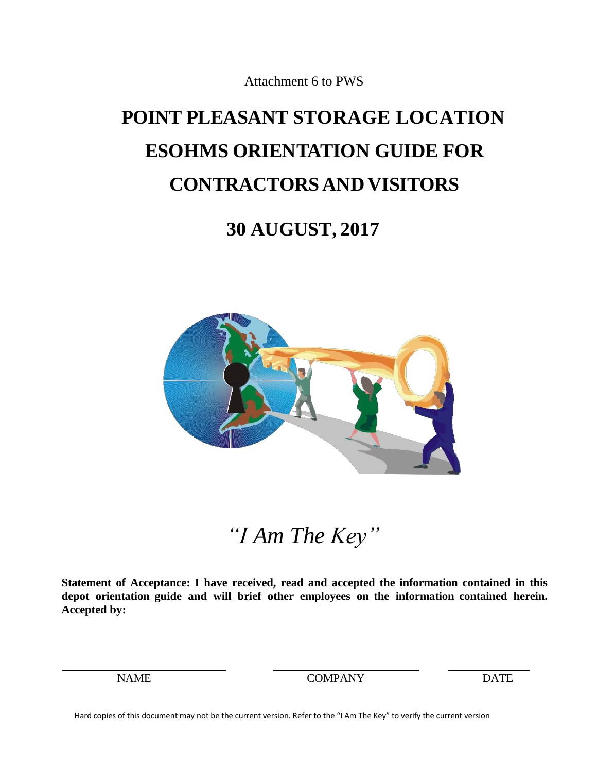# **POINT PLEASANT STORAGE LOCATION ESOHMS ORIENTATION GUIDE FOR CONTRACTORSAND VISITORS**

# **July21, 2020**



*"I Am The Key"*

**Statement of Acceptance: I have received, read and accepted the information contained in this depot orientation guide and will brief other employees on the information contained herein. Accepted by:**

NAME COMPANY DATE

Hard copies of this document may not be the current version. Refer to the "I Am The Key" to verify the current version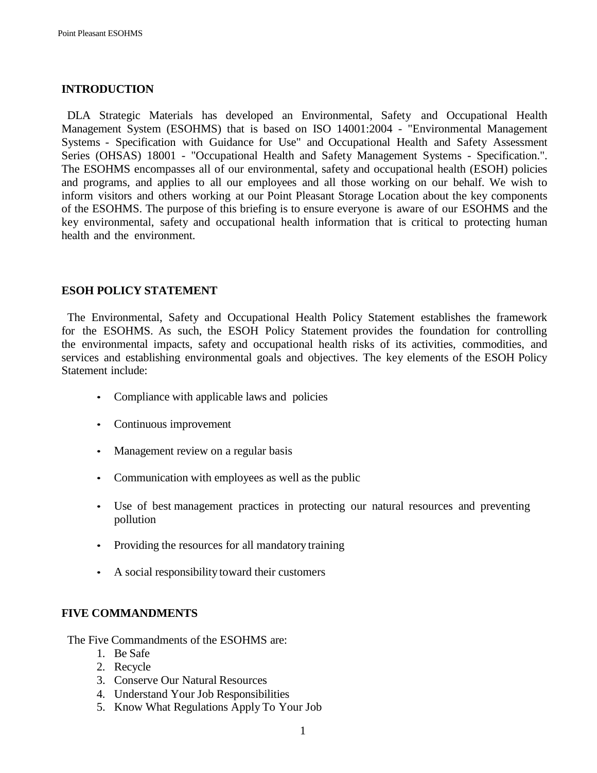## **INTRODUCTION**

 DLA Strategic Materials has developed an Environmental, Safety and Occupational Health Management System (ESOHMS) that is based on ISO 14001:2004 - "Environmental Management Systems - Specification with Guidance for Use" and Occupational Health and Safety Assessment Series (OHSAS) 18001 - "Occupational Health and Safety Management Systems - Specification.". The ESOHMS encompasses all of our environmental, safety and occupational health (ESOH) policies and programs, and applies to all our employees and all those working on our behalf. We wish to inform visitors and others working at our Point Pleasant Storage Location about the key components of the ESOHMS. The purpose of this briefing is to ensure everyone is aware of our ESOHMS and the key environmental, safety and occupational health information that is critical to protecting human health and the environment.

## **ESOH POLICY STATEMENT**

 The Environmental, Safety and Occupational Health Policy Statement establishes the framework for the ESOHMS. As such, the ESOH Policy Statement provides the foundation for controlling the environmental impacts, safety and occupational health risks of its activities, commodities, and services and establishing environmental goals and objectives. The key elements of the ESOH Policy Statement include:

- Compliance with applicable laws and policies
- Continuous improvement
- Management review on a regular basis
- Communication with employees as well as the public
- Use of best management practices in protecting our natural resources and preventing pollution
- Providing the resources for all mandatory training
- A social responsibility toward their customers

#### **FIVE COMMANDMENTS**

The Five Commandments of the ESOHMS are:

- 1. Be Safe
- 2. Recycle
- 3. Conserve Our Natural Resources
- 4. Understand Your Job Responsibilities
- 5. Know What Regulations Apply To Your Job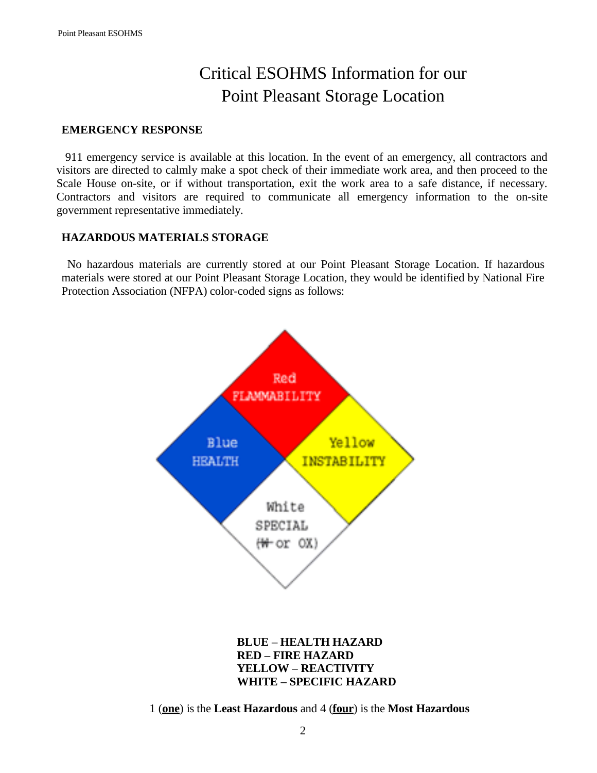# Critical ESOHMS Information for our Point Pleasant Storage Location

#### **EMERGENCY RESPONSE**

 911 emergency service is available at this location. In the event of an emergency, all contractors and visitors are directed to calmly make a spot check of their immediate work area, and then proceed to the Scale House on-site, or if without transportation, exit the work area to a safe distance, if necessary. Contractors and visitors are required to communicate all emergency information to the on-site government representative immediately.

### **HAZARDOUS MATERIALS STORAGE**

All personnel must familiarize themselves with the SDSs for material they will be handling. Materials stored at Pt. Pleasant include ferrochrome and ferromanganese. All personnel must wear PPE appropriate for identified hazards.

National Fire Protection Association (NFPA) color-coded signs that may be found at the site signify the following:



1 (**one**) is the **Least Hazardous** and 4 (**four**) is the **Most Hazardous**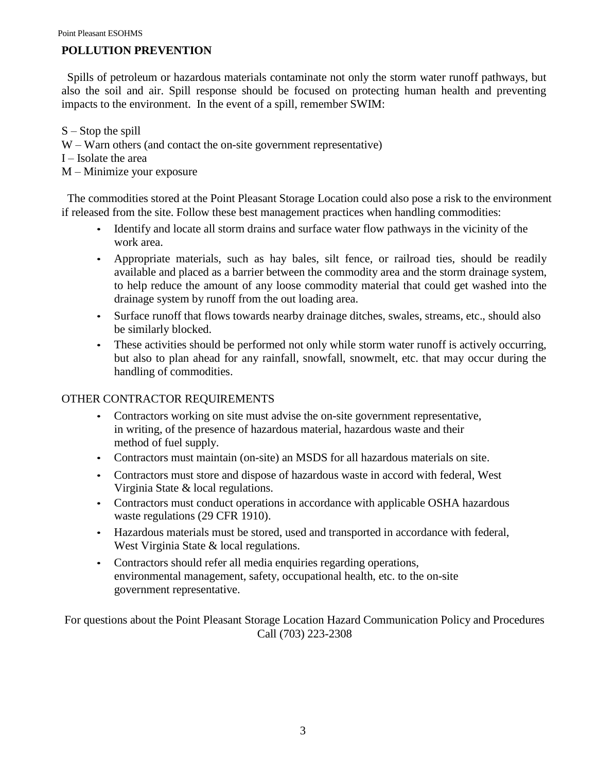# **POLLUTION PREVENTION**

 Spills of petroleum or hazardous materials contaminate not only the storm water runoff pathways, but also the soil and air. Spill response should be focused on protecting human health and preventing impacts to the environment. In the event of a spill, remember SWIM:

S – Stop the spill W – Warn others (and contact the on-site government representative) I – Isolate the area M – Minimize your exposure

 The commodities stored at the Point Pleasant Storage Location could also pose a risk to the environment if released from the site. Follow these best management practices when handling commodities:

- Identify and locate all storm drains and surface water flow pathways in the vicinity of the work area.
- Appropriate materials, such as hay bales, silt fence, or railroad ties, should be readily available and placed as a barrier between the commodity area and the storm drainage system, to help reduce the amount of any loose commodity material that could get washed into the drainage system by runoff from the out loading area.
- Surface runoff that flows towards nearby drainage ditches, swales, streams, etc., should also be similarly blocked.
- These activities should be performed not only while storm water runoff is actively occurring, but also to plan ahead for any rainfall, snowfall, snowmelt, etc. that may occur during the handling of commodities.

# OTHER CONTRACTOR REQUIREMENTS

- Contractors working on site must advise the on-site government representative, in writing, of the presence of hazardous material, hazardous waste and their method of fuel supply.
- Contractors must maintain (on-site) an SDS for all hazardous materials on site.
- Contractors shall not generate or store hazardous waste. Any waste generated as a result of emergency response shall be handled in accord with federal, West Virginia State & local regulations.
- Contractors must conduct operations in accordance with applicable OSHA regulations (29 CFR 1910).
- Hazardous materials must be stored, used and transported in accordance with federal, West Virginia State & local regulations.
- Contractors should refer all media inquiries regarding operations, environmental management, safety, occupational health, etc. to the on-site government representative.

For questions about the Point Pleasant Storage Location Hazard Communication Policy and Procedures Call (571) 363-9792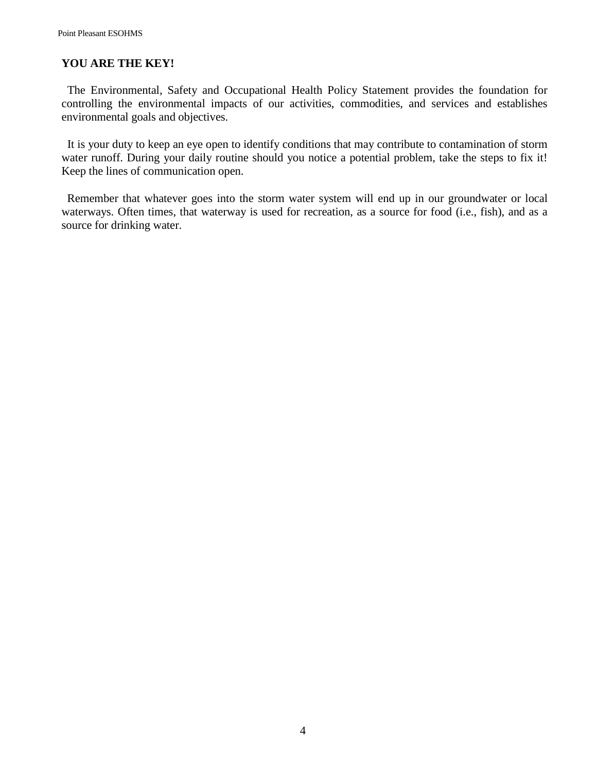### **YOU ARE THE KEY!**

 The Environmental, Safety and Occupational Health Policy Statement provides the foundation for controlling the environmental impacts of our activities, commodities, and services and establishes environmental goals and objectives.

 It is your duty to keep an eye open to identify conditions that may contribute to contamination of storm water runoff. During your daily routine should you notice a potential problem, take the steps to fix it! Keep the lines of communication open.

 Remember that whatever goes into the storm water system will end up in our groundwater or local waterways. Often times, that waterway is used for recreation, as a source for food (i.e., fish), and as a source for drinking water.